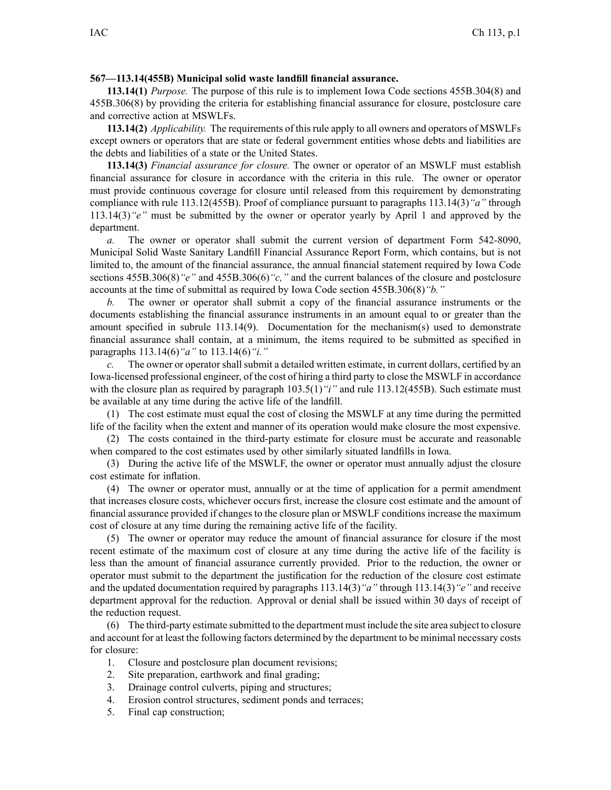## **567—113.14(455B) Municipal solid waste landfill financial assurance.**

**113.14(1)** *Purpose.* The purpose of this rule is to implement Iowa Code sections 455B.304(8) and 455B.306(8) by providing the criteria for establishing financial assurance for closure, postclosure care and corrective action at MSWLFs.

**113.14(2)** *Applicability.* The requirements of this rule apply to all owners and operators of MSWLFs excep<sup>t</sup> owners or operators that are state or federal governmen<sup>t</sup> entities whose debts and liabilities are the debts and liabilities of <sup>a</sup> state or the United States.

**113.14(3)** *Financial assurance for closure.* The owner or operator of an MSWLF must establish financial assurance for closure in accordance with the criteria in this rule. The owner or operator must provide continuous coverage for closure until released from this requirement by demonstrating compliance with rule 113.12(455B). Proof of compliance pursuan<sup>t</sup> to paragraphs 113.14(3)*"a"* through 113.14(3)*"e"* must be submitted by the owner or operator yearly by April 1 and approved by the department.

*a.* The owner or operator shall submit the current version of department Form 542-8090, Municipal Solid Waste Sanitary Landfill Financial Assurance Report Form, which contains, but is not limited to, the amount of the financial assurance, the annual financial statement required by Iowa Code sections 455B.306(8)*"e"* and 455B.306(6)*"c,"* and the current balances of the closure and postclosure accounts at the time of submittal as required by Iowa Code section 455B.306(8)*"b."*

*b.* The owner or operator shall submit <sup>a</sup> copy of the financial assurance instruments or the documents establishing the financial assurance instruments in an amount equal to or greater than the amount specified in subrule 113.14(9). Documentation for the mechanism(s) used to demonstrate financial assurance shall contain, at <sup>a</sup> minimum, the items required to be submitted as specified in paragraphs 113.14(6)*"a"* to 113.14(6)*"i."*

*c.* The owner or operator shall submit <sup>a</sup> detailed written estimate, in current dollars, certified by an Iowa-licensed professional engineer, of the cost of hiring <sup>a</sup> third party to close the MSWLF in accordance with the closure plan as required by paragraph  $103.5(1)$  "*i*" and rule 113.12(455B). Such estimate must be available at any time during the active life of the landfill.

(1) The cost estimate must equal the cost of closing the MSWLF at any time during the permitted life of the facility when the extent and manner of its operation would make closure the most expensive.

(2) The costs contained in the third-party estimate for closure must be accurate and reasonable when compared to the cost estimates used by other similarly situated landfills in Iowa.

(3) During the active life of the MSWLF, the owner or operator must annually adjust the closure cost estimate for inflation.

(4) The owner or operator must, annually or at the time of application for <sup>a</sup> permit amendment that increases closure costs, whichever occurs first, increase the closure cost estimate and the amount of financial assurance provided if changes to the closure plan or MSWLF conditions increase the maximum cost of closure at any time during the remaining active life of the facility.

(5) The owner or operator may reduce the amount of financial assurance for closure if the most recent estimate of the maximum cost of closure at any time during the active life of the facility is less than the amount of financial assurance currently provided. Prior to the reduction, the owner or operator must submit to the department the justification for the reduction of the closure cost estimate and the updated documentation required by paragraphs 113.14(3)*"a"* through 113.14(3)*"e"* and receive department approval for the reduction. Approval or denial shall be issued within 30 days of receipt of the reduction request.

(6) The third-party estimate submitted to the department must include the site area subject to closure and account for at least the following factors determined by the department to be minimal necessary costs for closure:

- 1. Closure and postclosure plan document revisions;
- 2. Site preparation, earthwork and final grading;
- 3. Drainage control culverts, piping and structures;
- 4. Erosion control structures, sediment ponds and terraces;
- 5. Final cap construction;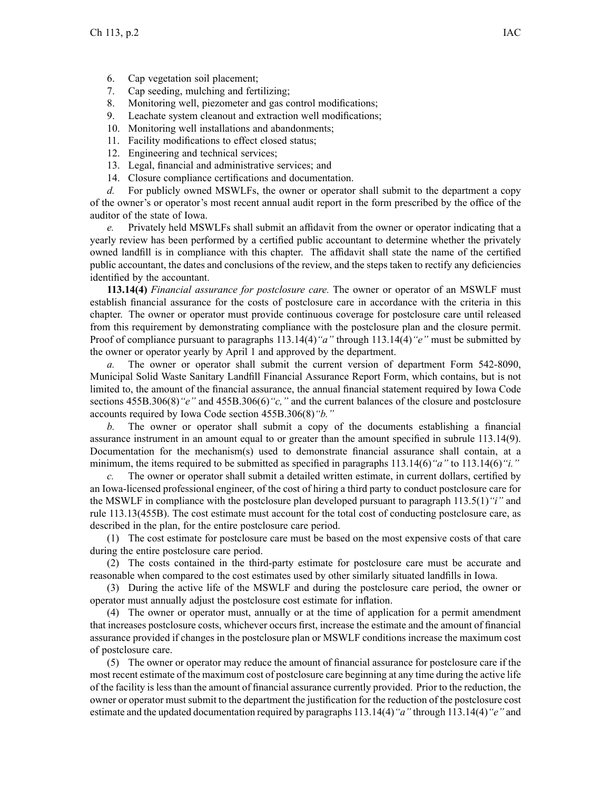- 6. Cap vegetation soil placement;
- 7. Cap seeding, mulching and fertilizing;
- 8. Monitoring well, piezometer and gas control modifications;
- 9. Leachate system cleanout and extraction well modifications;
- 10. Monitoring well installations and abandonments;
- 11. Facility modifications to effect closed status;
- 12. Engineering and technical services;
- 13. Legal, financial and administrative services; and
- 14. Closure compliance certifications and documentation.

*d.* For publicly owned MSWLFs, the owner or operator shall submit to the department <sup>a</sup> copy of the owner's or operator's most recent annual audit repor<sup>t</sup> in the form prescribed by the office of the auditor of the state of Iowa.

*e.* Privately held MSWLFs shall submit an affidavit from the owner or operator indicating that <sup>a</sup> yearly review has been performed by <sup>a</sup> certified public accountant to determine whether the privately owned landfill is in compliance with this chapter. The affidavit shall state the name of the certified public accountant, the dates and conclusions of the review, and the steps taken to rectify any deficiencies identified by the accountant.

**113.14(4)** *Financial assurance for postclosure care.* The owner or operator of an MSWLF must establish financial assurance for the costs of postclosure care in accordance with the criteria in this chapter. The owner or operator must provide continuous coverage for postclosure care until released from this requirement by demonstrating compliance with the postclosure plan and the closure permit. Proof of compliance pursuan<sup>t</sup> to paragraphs 113.14(4)*"a"* through 113.14(4)*"e"* must be submitted by the owner or operator yearly by April 1 and approved by the department.

*a.* The owner or operator shall submit the current version of department Form 542-8090, Municipal Solid Waste Sanitary Landfill Financial Assurance Report Form, which contains, but is not limited to, the amount of the financial assurance, the annual financial statement required by Iowa Code sections 455B.306(8)*"e"* and 455B.306(6)*"c,"* and the current balances of the closure and postclosure accounts required by Iowa Code section 455B.306(8)*"b."*

*b.* The owner or operator shall submit <sup>a</sup> copy of the documents establishing <sup>a</sup> financial assurance instrument in an amount equal to or greater than the amount specified in subrule 113.14(9). Documentation for the mechanism(s) used to demonstrate financial assurance shall contain, at <sup>a</sup> minimum, the items required to be submitted as specified in paragraphs 113.14(6)*"a"* to 113.14(6)*"i."*

*c.* The owner or operator shall submit <sup>a</sup> detailed written estimate, in current dollars, certified by an Iowa-licensed professional engineer, of the cost of hiring <sup>a</sup> third party to conduct postclosure care for the MSWLF in compliance with the postclosure plan developed pursuan<sup>t</sup> to paragraph 113.5(1)*"i"* and rule 113.13(455B). The cost estimate must account for the total cost of conducting postclosure care, as described in the plan, for the entire postclosure care period.

(1) The cost estimate for postclosure care must be based on the most expensive costs of that care during the entire postclosure care period.

(2) The costs contained in the third-party estimate for postclosure care must be accurate and reasonable when compared to the cost estimates used by other similarly situated landfills in Iowa.

(3) During the active life of the MSWLF and during the postclosure care period, the owner or operator must annually adjust the postclosure cost estimate for inflation.

(4) The owner or operator must, annually or at the time of application for <sup>a</sup> permit amendment that increases postclosure costs, whichever occurs first, increase the estimate and the amount of financial assurance provided if changes in the postclosure plan or MSWLF conditions increase the maximum cost of postclosure care.

(5) The owner or operator may reduce the amount of financial assurance for postclosure care if the most recent estimate of the maximum cost of postclosure care beginning at any time during the active life of the facility is less than the amount of financial assurance currently provided. Prior to the reduction, the owner or operator must submit to the department the justification for the reduction of the postclosure cost estimate and the updated documentation required by paragraphs 113.14(4) "a" through 113.14(4) "e" and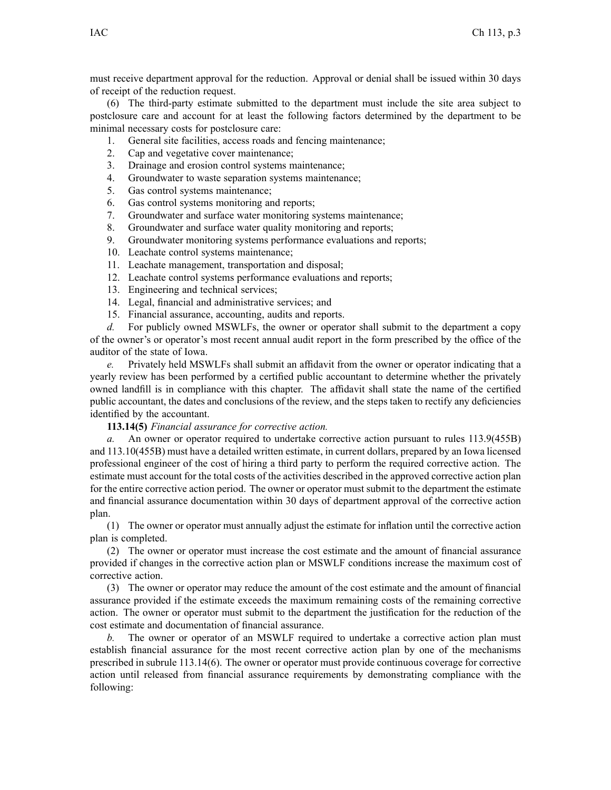must receive department approval for the reduction. Approval or denial shall be issued within 30 days of receipt of the reduction request.

(6) The third-party estimate submitted to the department must include the site area subject to postclosure care and account for at least the following factors determined by the department to be minimal necessary costs for postclosure care:

- 1. General site facilities, access roads and fencing maintenance;
- 2. Cap and vegetative cover maintenance;
- 3. Drainage and erosion control systems maintenance;
- 4. Groundwater to waste separation systems maintenance;
- 5. Gas control systems maintenance;
- 6. Gas control systems monitoring and reports;
- 7. Groundwater and surface water monitoring systems maintenance;
- 8. Groundwater and surface water quality monitoring and reports;
- 9. Groundwater monitoring systems performance evaluations and reports;
- 10. Leachate control systems maintenance;
- 11. Leachate management, transportation and disposal;
- 12. Leachate control systems performance evaluations and reports;
- 13. Engineering and technical services;
- 14. Legal, financial and administrative services; and
- 15. Financial assurance, accounting, audits and reports.

*d.* For publicly owned MSWLFs, the owner or operator shall submit to the department <sup>a</sup> copy of the owner's or operator's most recent annual audit repor<sup>t</sup> in the form prescribed by the office of the auditor of the state of Iowa.

*e.* Privately held MSWLFs shall submit an affidavit from the owner or operator indicating that <sup>a</sup> yearly review has been performed by <sup>a</sup> certified public accountant to determine whether the privately owned landfill is in compliance with this chapter. The affidavit shall state the name of the certified public accountant, the dates and conclusions of the review, and the steps taken to rectify any deficiencies identified by the accountant.

## **113.14(5)** *Financial assurance for corrective action.*

*a.* An owner or operator required to undertake corrective action pursuan<sup>t</sup> to rules 113.9(455B) and 113.10(455B) must have <sup>a</sup> detailed written estimate, in current dollars, prepared by an Iowa licensed professional engineer of the cost of hiring <sup>a</sup> third party to perform the required corrective action. The estimate must account for the total costs of the activities described in the approved corrective action plan for the entire corrective action period. The owner or operator must submit to the department the estimate and financial assurance documentation within 30 days of department approval of the corrective action plan.

(1) The owner or operator must annually adjust the estimate for inflation until the corrective action plan is completed.

(2) The owner or operator must increase the cost estimate and the amount of financial assurance provided if changes in the corrective action plan or MSWLF conditions increase the maximum cost of corrective action.

(3) The owner or operator may reduce the amount of the cost estimate and the amount of financial assurance provided if the estimate exceeds the maximum remaining costs of the remaining corrective action. The owner or operator must submit to the department the justification for the reduction of the cost estimate and documentation of financial assurance.

*b.* The owner or operator of an MSWLF required to undertake <sup>a</sup> corrective action plan must establish financial assurance for the most recent corrective action plan by one of the mechanisms prescribed in subrule 113.14(6). The owner or operator must provide continuous coverage for corrective action until released from financial assurance requirements by demonstrating compliance with the following: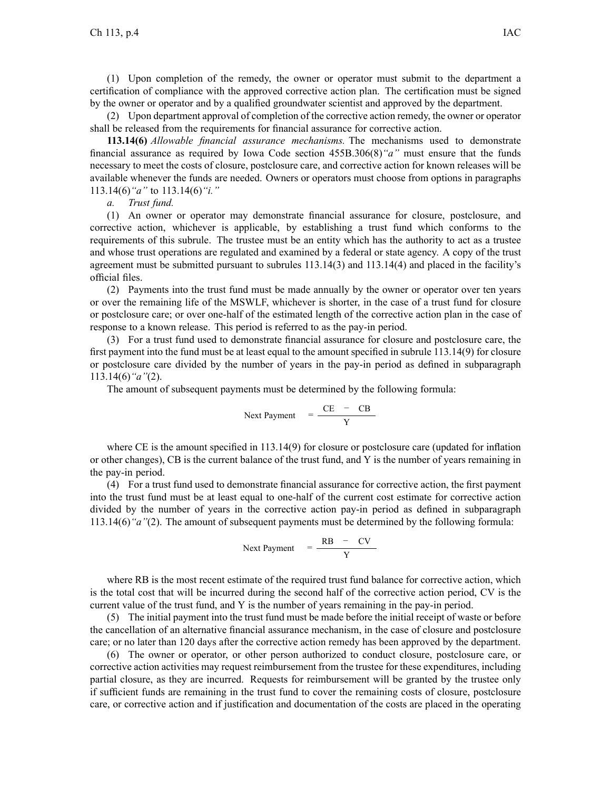(1) Upon completion of the remedy, the owner or operator must submit to the department <sup>a</sup> certification of compliance with the approved corrective action plan. The certification must be signed by the owner or operator and by <sup>a</sup> qualified groundwater scientist and approved by the department.

(2) Upon department approval of completion of the corrective action remedy, the owner or operator shall be released from the requirements for financial assurance for corrective action.

**113.14(6)** *Allowable financial assurance mechanisms.* The mechanisms used to demonstrate financial assurance as required by Iowa Code section 455B.306(8)*"a"* must ensure that the funds necessary to meet the costs of closure, postclosure care, and corrective action for known releases will be available whenever the funds are needed. Owners or operators must choose from options in paragraphs 113.14(6)*"a"* to 113.14(6)*"i."*

*a. Trust fund.*

(1) An owner or operator may demonstrate financial assurance for closure, postclosure, and corrective action, whichever is applicable, by establishing <sup>a</sup> trust fund which conforms to the requirements of this subrule. The trustee must be an entity which has the authority to act as <sup>a</sup> trustee and whose trust operations are regulated and examined by <sup>a</sup> federal or state agency. A copy of the trust agreemen<sup>t</sup> must be submitted pursuan<sup>t</sup> to subrules 113.14(3) and 113.14(4) and placed in the facility's official files.

(2) Payments into the trust fund must be made annually by the owner or operator over ten years or over the remaining life of the MSWLF, whichever is shorter, in the case of <sup>a</sup> trust fund for closure or postclosure care; or over one-half of the estimated length of the corrective action plan in the case of response to <sup>a</sup> known release. This period is referred to as the pay-in period.

(3) For <sup>a</sup> trust fund used to demonstrate financial assurance for closure and postclosure care, the first paymen<sup>t</sup> into the fund must be at least equal to the amount specified in subrule 113.14(9) for closure or postclosure care divided by the number of years in the pay-in period as defined in subparagraph 113.14(6)*"a"*(2).

The amount of subsequent payments must be determined by the following formula:

Next Payment 
$$
=\frac{CE - CB}{Y}
$$

where CE is the amount specified in 113.14(9) for closure or postclosure care (updated for inflation or other changes), CB is the current balance of the trust fund, and Y is the number of years remaining in the pay-in period.

(4) For <sup>a</sup> trust fund used to demonstrate financial assurance for corrective action, the first paymen<sup>t</sup> into the trust fund must be at least equal to one-half of the current cost estimate for corrective action divided by the number of years in the corrective action pay-in period as defined in subparagraph 113.14(6)*"a"*(2). The amount of subsequent payments must be determined by the following formula:

Next Payment 
$$
=
$$
  $\frac{RB - CV}{Y}$ 

where RB is the most recent estimate of the required trust fund balance for corrective action, which is the total cost that will be incurred during the second half of the corrective action period, CV is the current value of the trust fund, and Y is the number of years remaining in the pay-in period.

(5) The initial paymen<sup>t</sup> into the trust fund must be made before the initial receipt of waste or before the cancellation of an alternative financial assurance mechanism, in the case of closure and postclosure care; or no later than 120 days after the corrective action remedy has been approved by the department.

(6) The owner or operator, or other person authorized to conduct closure, postclosure care, or corrective action activities may reques<sup>t</sup> reimbursement from the trustee for these expenditures, including partial closure, as they are incurred. Requests for reimbursement will be granted by the trustee only if sufficient funds are remaining in the trust fund to cover the remaining costs of closure, postclosure care, or corrective action and if justification and documentation of the costs are placed in the operating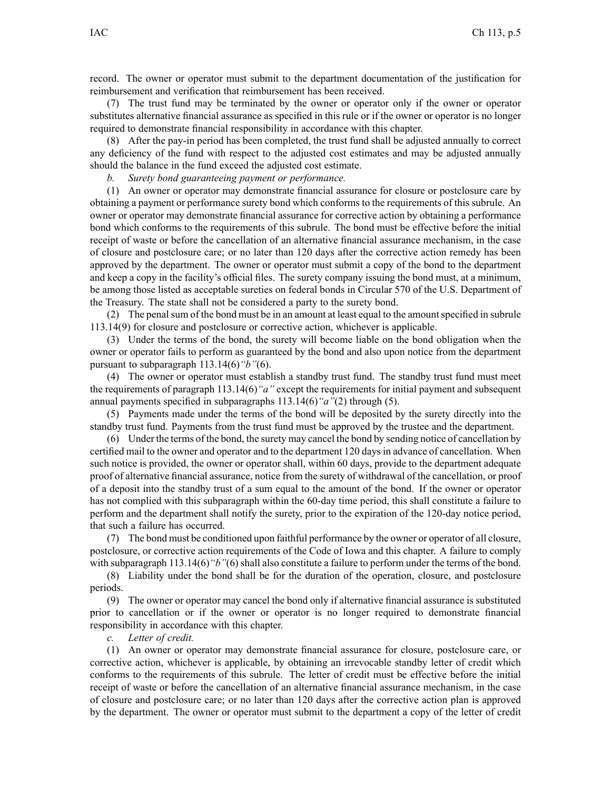record. The owner or operator must submit to the department documentation of the justification for reimbursement and verification that reimbursement has been received.

(7) The trust fund may be terminated by the owner or operator only if the owner or operator substitutes alternative financial assurance as specified in this rule or if the owner or operator is no longer required to demonstrate financial responsibility in accordance with this chapter.

(8) After the pay-in period has been completed, the trust fund shall be adjusted annually to correct any deficiency of the fund with respec<sup>t</sup> to the adjusted cost estimates and may be adjusted annually should the balance in the fund exceed the adjusted cost estimate.

*b. Surety bond guaranteeing paymen<sup>t</sup> or performance.*

(1) An owner or operator may demonstrate financial assurance for closure or postclosure care by obtaining <sup>a</sup> paymen<sup>t</sup> or performance surety bond which conforms to the requirements of this subrule. An owner or operator may demonstrate financial assurance for corrective action by obtaining <sup>a</sup> performance bond which conforms to the requirements of this subrule. The bond must be effective before the initial receipt of waste or before the cancellation of an alternative financial assurance mechanism, in the case of closure and postclosure care; or no later than 120 days after the corrective action remedy has been approved by the department. The owner or operator must submit <sup>a</sup> copy of the bond to the department and keep <sup>a</sup> copy in the facility's official files. The surety company issuing the bond must, at <sup>a</sup> minimum, be among those listed as acceptable sureties on federal bonds in Circular 570 of the U.S. Department of the Treasury. The state shall not be considered <sup>a</sup> party to the surety bond.

(2) The penalsum of the bond must be in an amount at least equal to the amountspecified in subrule 113.14(9) for closure and postclosure or corrective action, whichever is applicable.

(3) Under the terms of the bond, the surety will become liable on the bond obligation when the owner or operator fails to perform as guaranteed by the bond and also upon notice from the department pursuan<sup>t</sup> to subparagraph 113.14(6)*"b"*(6).

(4) The owner or operator must establish <sup>a</sup> standby trust fund. The standby trust fund must meet the requirements of paragraph 113.14(6)*"a"* excep<sup>t</sup> the requirements for initial paymen<sup>t</sup> and subsequent annual payments specified in subparagraphs 113.14(6)*"a"*(2) through (5).

(5) Payments made under the terms of the bond will be deposited by the surety directly into the standby trust fund. Payments from the trust fund must be approved by the trustee and the department.

(6) Under the terms of the bond, the surety may cancel the bond by sending notice of cancellation by certified mail to the owner and operator and to the department 120 daysin advance of cancellation. When such notice is provided, the owner or operator shall, within 60 days, provide to the department adequate proof of alternative financial assurance, notice from the surety of withdrawal of the cancellation, or proof of <sup>a</sup> deposit into the standby trust of <sup>a</sup> sum equal to the amount of the bond. If the owner or operator has not complied with this subparagraph within the 60-day time period, this shall constitute <sup>a</sup> failure to perform and the department shall notify the surety, prior to the expiration of the 120-day notice period, that such <sup>a</sup> failure has occurred.

(7) The bond must be conditioned upon faithful performance by the owner or operator of all closure, postclosure, or corrective action requirements of the Code of Iowa and this chapter. A failure to comply with subparagraph 113.14(6)<sup>*"b"*</sup>(6) shall also constitute a failure to perform under the terms of the bond.

(8) Liability under the bond shall be for the duration of the operation, closure, and postclosure periods.

(9) The owner or operator may cancel the bond only if alternative financial assurance is substituted prior to cancellation or if the owner or operator is no longer required to demonstrate financial responsibility in accordance with this chapter.

*c. Letter of credit.*

(1) An owner or operator may demonstrate financial assurance for closure, postclosure care, or corrective action, whichever is applicable, by obtaining an irrevocable standby letter of credit which conforms to the requirements of this subrule. The letter of credit must be effective before the initial receipt of waste or before the cancellation of an alternative financial assurance mechanism, in the case of closure and postclosure care; or no later than 120 days after the corrective action plan is approved by the department. The owner or operator must submit to the department <sup>a</sup> copy of the letter of credit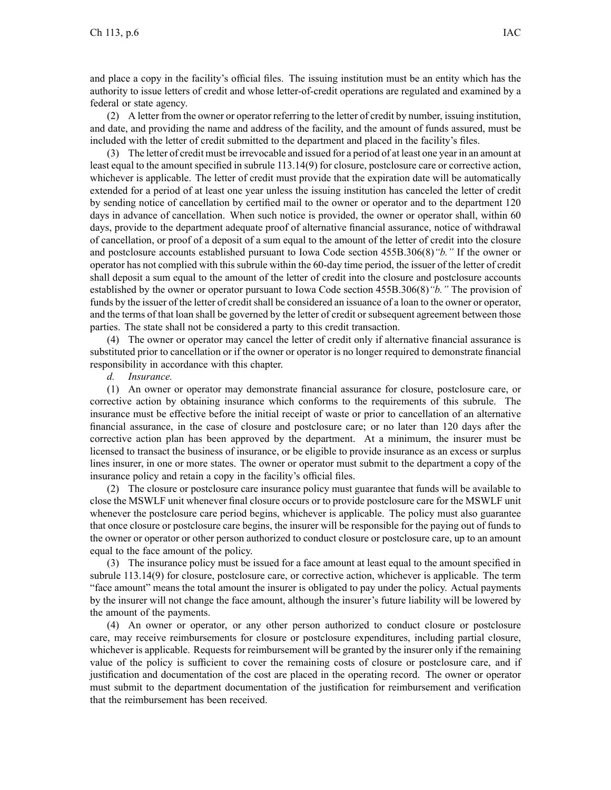and place <sup>a</sup> copy in the facility's official files. The issuing institution must be an entity which has the authority to issue letters of credit and whose letter-of-credit operations are regulated and examined by <sup>a</sup> federal or state agency.

(2) A letter from the owner or operator referring to the letter of credit by number, issuing institution, and date, and providing the name and address of the facility, and the amount of funds assured, must be included with the letter of credit submitted to the department and placed in the facility's files.

(3) The letter of credit must be irrevocable and issued for <sup>a</sup> period of at least one year in an amount at least equal to the amount specified in subrule 113.14(9) for closure, postclosure care or corrective action, whichever is applicable. The letter of credit must provide that the expiration date will be automatically extended for <sup>a</sup> period of at least one year unless the issuing institution has canceled the letter of credit by sending notice of cancellation by certified mail to the owner or operator and to the department 120 days in advance of cancellation. When such notice is provided, the owner or operator shall, within 60 days, provide to the department adequate proof of alternative financial assurance, notice of withdrawal of cancellation, or proof of <sup>a</sup> deposit of <sup>a</sup> sum equal to the amount of the letter of credit into the closure and postclosure accounts established pursuan<sup>t</sup> to Iowa Code section 455B.306(8)*"b."* If the owner or operator has not complied with this subrule within the 60-day time period, the issuer of the letter of credit shall deposit <sup>a</sup> sum equal to the amount of the letter of credit into the closure and postclosure accounts established by the owner or operator pursuan<sup>t</sup> to Iowa Code section 455B.306(8)*"b."* The provision of funds by the issuer of the letter of credit shall be considered an issuance of a loan to the owner or operator, and the terms of that loan shall be governed by the letter of credit or subsequent agreemen<sup>t</sup> between those parties. The state shall not be considered <sup>a</sup> party to this credit transaction.

(4) The owner or operator may cancel the letter of credit only if alternative financial assurance is substituted prior to cancellation or if the owner or operator is no longer required to demonstrate financial responsibility in accordance with this chapter.

*d. Insurance.*

(1) An owner or operator may demonstrate financial assurance for closure, postclosure care, or corrective action by obtaining insurance which conforms to the requirements of this subrule. The insurance must be effective before the initial receipt of waste or prior to cancellation of an alternative financial assurance, in the case of closure and postclosure care; or no later than 120 days after the corrective action plan has been approved by the department. At <sup>a</sup> minimum, the insurer must be licensed to transact the business of insurance, or be eligible to provide insurance as an excess or surplus lines insurer, in one or more states. The owner or operator must submit to the department <sup>a</sup> copy of the insurance policy and retain <sup>a</sup> copy in the facility's official files.

(2) The closure or postclosure care insurance policy must guarantee that funds will be available to close the MSWLF unit whenever final closure occurs or to provide postclosure care for the MSWLF unit whenever the postclosure care period begins, whichever is applicable. The policy must also guarantee that once closure or postclosure care begins, the insurer will be responsible for the paying out of funds to the owner or operator or other person authorized to conduct closure or postclosure care, up to an amount equal to the face amount of the policy.

(3) The insurance policy must be issued for <sup>a</sup> face amount at least equal to the amount specified in subrule 113.14(9) for closure, postclosure care, or corrective action, whichever is applicable. The term "face amount" means the total amount the insurer is obligated to pay under the policy. Actual payments by the insurer will not change the face amount, although the insurer's future liability will be lowered by the amount of the payments.

(4) An owner or operator, or any other person authorized to conduct closure or postclosure care, may receive reimbursements for closure or postclosure expenditures, including partial closure, whichever is applicable. Requests for reimbursement will be granted by the insurer only if the remaining value of the policy is sufficient to cover the remaining costs of closure or postclosure care, and if justification and documentation of the cost are placed in the operating record. The owner or operator must submit to the department documentation of the justification for reimbursement and verification that the reimbursement has been received.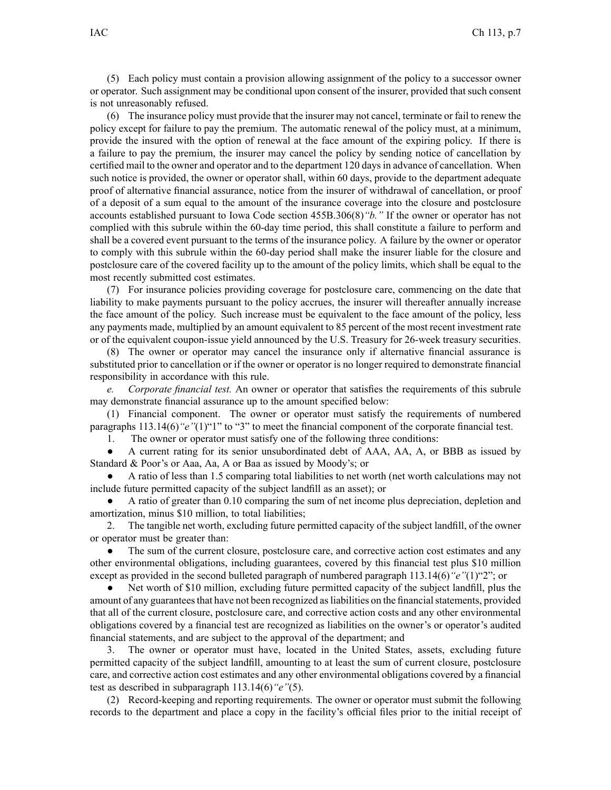(5) Each policy must contain <sup>a</sup> provision allowing assignment of the policy to <sup>a</sup> successor owner or operator. Such assignment may be conditional upon consent of the insurer, provided that such consent is not unreasonably refused.

(6) The insurance policy must provide that the insurer may not cancel, terminate or fail to renew the policy excep<sup>t</sup> for failure to pay the premium. The automatic renewal of the policy must, at <sup>a</sup> minimum, provide the insured with the option of renewal at the face amount of the expiring policy. If there is <sup>a</sup> failure to pay the premium, the insurer may cancel the policy by sending notice of cancellation by certified mail to the owner and operator and to the department 120 daysin advance of cancellation. When such notice is provided, the owner or operator shall, within 60 days, provide to the department adequate proof of alternative financial assurance, notice from the insurer of withdrawal of cancellation, or proof of <sup>a</sup> deposit of <sup>a</sup> sum equal to the amount of the insurance coverage into the closure and postclosure accounts established pursuan<sup>t</sup> to Iowa Code section 455B.306(8)*"b."* If the owner or operator has not complied with this subrule within the 60-day time period, this shall constitute <sup>a</sup> failure to perform and shall be <sup>a</sup> covered event pursuan<sup>t</sup> to the terms of the insurance policy. A failure by the owner or operator to comply with this subrule within the 60-day period shall make the insurer liable for the closure and postclosure care of the covered facility up to the amount of the policy limits, which shall be equal to the most recently submitted cost estimates.

(7) For insurance policies providing coverage for postclosure care, commencing on the date that liability to make payments pursuan<sup>t</sup> to the policy accrues, the insurer will thereafter annually increase the face amount of the policy. Such increase must be equivalent to the face amount of the policy, less any payments made, multiplied by an amount equivalent to 85 percen<sup>t</sup> of the most recent investment rate or of the equivalent coupon-issue yield announced by the U.S. Treasury for 26-week treasury securities.

(8) The owner or operator may cancel the insurance only if alternative financial assurance is substituted prior to cancellation or if the owner or operator is no longer required to demonstrate financial responsibility in accordance with this rule.

*e. Corporate financial test.* An owner or operator that satisfies the requirements of this subrule may demonstrate financial assurance up to the amount specified below:

(1) Financial component. The owner or operator must satisfy the requirements of numbered paragraphs 113.14(6)<sup>"</sup>e"(1)<sup>"1</sup>" to "3" to meet the financial component of the corporate financial test.

1. The owner or operator must satisfy one of the following three conditions:

● A current rating for its senior unsubordinated debt of AAA, AA, A, or BBB as issued by Standard & Poor's or Aaa, Aa, Aor Baa as issued by Moody's; or

● A ratio of less than 1.5 comparing total liabilities to net worth (net worth calculations may not include future permitted capacity of the subject landfill as an asset); or

● A ratio of greater than 0.10 comparing the sum of net income plus depreciation, depletion and amortization, minus \$10 million, to total liabilities;

2. The tangible net worth, excluding future permitted capacity of the subject landfill, of the owner or operator must be greater than:

 $\bullet$  The sum of the current closure, postclosure care, and corrective action cost estimates and any other environmental obligations, including guarantees, covered by this financial test plus \$10 million excep<sup>t</sup> as provided in the second bulleted paragraph of numbered paragraph 113.14(6)*"e"*(1)"2"; or

● Net worth of \$10 million, excluding future permitted capacity of the subject landfill, plus the amount of any guarantees that have not been recognized as liabilities on the financial statements, provided that all of the current closure, postclosure care, and corrective action costs and any other environmental obligations covered by <sup>a</sup> financial test are recognized as liabilities on the owner's or operator's audited financial statements, and are subject to the approval of the department; and

3. The owner or operator must have, located in the United States, assets, excluding future permitted capacity of the subject landfill, amounting to at least the sum of current closure, postclosure care, and corrective action cost estimates and any other environmental obligations covered by <sup>a</sup> financial test as described in subparagraph 113.14(6)*"e"*(5).

(2) Record-keeping and reporting requirements. The owner or operator must submit the following records to the department and place <sup>a</sup> copy in the facility's official files prior to the initial receipt of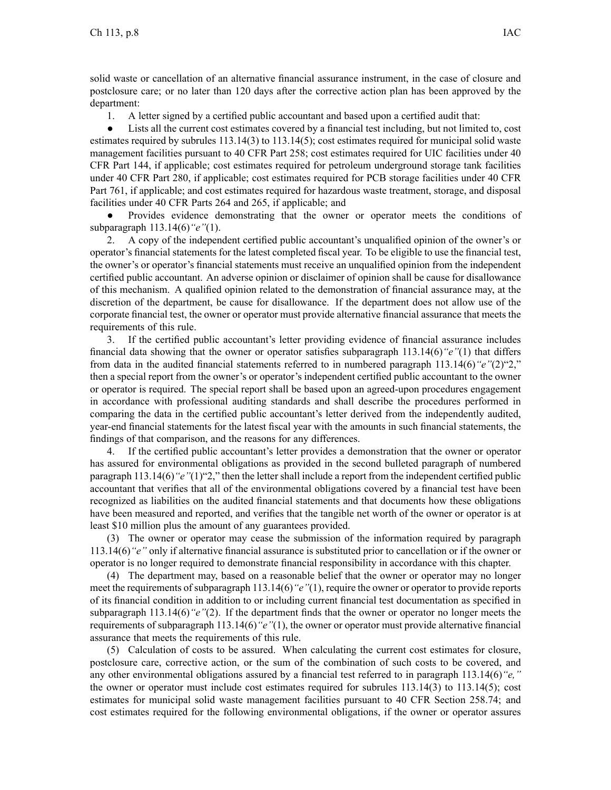solid waste or cancellation of an alternative financial assurance instrument, in the case of closure and postclosure care; or no later than 120 days after the corrective action plan has been approved by the department:

1. A letter signed by <sup>a</sup> certified public accountant and based upon <sup>a</sup> certified audit that:

 $\bullet$  Lists all the current cost estimates covered by <sup>a</sup> financial test including, but not limited to, cost estimates required by subrules 113.14(3) to 113.14(5); cost estimates required for municipal solid waste managemen<sup>t</sup> facilities pursuan<sup>t</sup> to 40 CFR Part 258; cost estimates required for UIC facilities under 40 CFR Part 144, if applicable; cost estimates required for petroleum underground storage tank facilities under 40 CFR Part 280, if applicable; cost estimates required for PCB storage facilities under 40 CFR Part 761, if applicable; and cost estimates required for hazardous waste treatment, storage, and disposal facilities under 40 CFR Parts 264 and 265, if applicable; and

● Provides evidence demonstrating that the owner or operator meets the conditions of subparagraph 113.14(6)*"e"*(1).

2. A copy of the independent certified public accountant's unqualified opinion of the owner's or operator's financial statements for the latest completed fiscal year. To be eligible to use the financial test, the owner's or operator's financial statements must receive an unqualified opinion from the independent certified public accountant. An adverse opinion or disclaimer of opinion shall be cause for disallowance of this mechanism. A qualified opinion related to the demonstration of financial assurance may, at the discretion of the department, be cause for disallowance. If the department does not allow use of the corporate financial test, the owner or operator must provide alternative financial assurance that meets the requirements of this rule.

3. If the certified public accountant's letter providing evidence of financial assurance includes financial data showing that the owner or operator satisfies subparagraph 113.14(6)*"e"*(1) that differs from data in the audited financial statements referred to in numbered paragraph 113.14(6)*"e"*(2)"2," then <sup>a</sup> special repor<sup>t</sup> from the owner's or operator's independent certified public accountant to the owner or operator is required. The special repor<sup>t</sup> shall be based upon an agreed-upon procedures engagemen<sup>t</sup> in accordance with professional auditing standards and shall describe the procedures performed in comparing the data in the certified public accountant's letter derived from the independently audited, year-end financial statements for the latest fiscal year with the amounts in such financial statements, the findings of that comparison, and the reasons for any differences.

4. If the certified public accountant's letter provides <sup>a</sup> demonstration that the owner or operator has assured for environmental obligations as provided in the second bulleted paragraph of numbered paragraph 113.14(6)*"e"*(1)"2," then the letter shall include <sup>a</sup> repor<sup>t</sup> from the independent certified public accountant that verifies that all of the environmental obligations covered by <sup>a</sup> financial test have been recognized as liabilities on the audited financial statements and that documents how these obligations have been measured and reported, and verifies that the tangible net worth of the owner or operator is at least \$10 million plus the amount of any guarantees provided.

(3) The owner or operator may cease the submission of the information required by paragraph 113.14(6)*"e"* only if alternative financial assurance is substituted prior to cancellation or if the owner or operator is no longer required to demonstrate financial responsibility in accordance with this chapter.

(4) The department may, based on <sup>a</sup> reasonable belief that the owner or operator may no longer meet the requirements of subparagraph 113.14(6)<sup>"</sup>e"(1), require the owner or operator to provide reports of its financial condition in addition to or including current financial test documentation as specified in subparagraph 113.14(6)*"e"*(2). If the department finds that the owner or operator no longer meets the requirements of subparagraph 113.14(6)*"e"*(1), the owner or operator must provide alternative financial assurance that meets the requirements of this rule.

(5) Calculation of costs to be assured. When calculating the current cost estimates for closure, postclosure care, corrective action, or the sum of the combination of such costs to be covered, and any other environmental obligations assured by <sup>a</sup> financial test referred to in paragraph 113.14(6)*"e,"* the owner or operator must include cost estimates required for subrules 113.14(3) to 113.14(5); cost estimates for municipal solid waste managemen<sup>t</sup> facilities pursuan<sup>t</sup> to 40 CFR Section 258.74; and cost estimates required for the following environmental obligations, if the owner or operator assures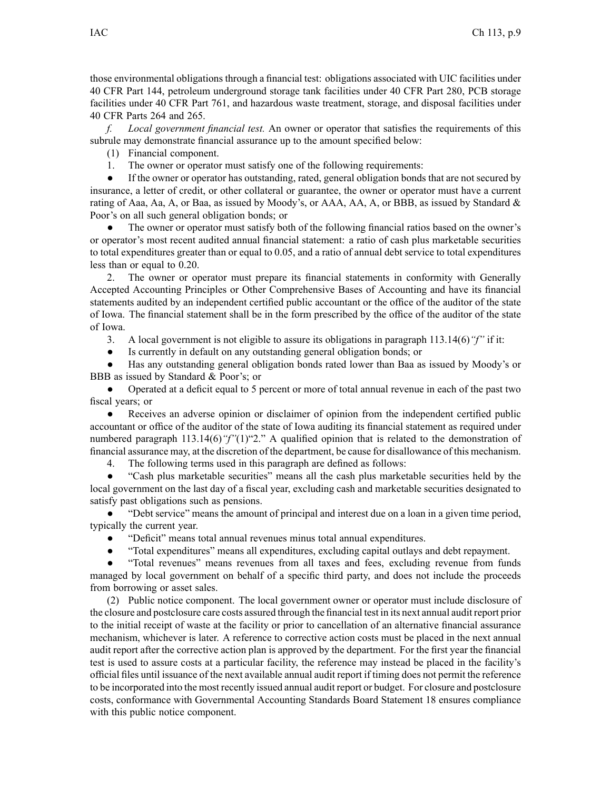those environmental obligations through <sup>a</sup> financial test: obligations associated with UIC facilities under 40 CFR Part 144, petroleum underground storage tank facilities under 40 CFR Part 280, PCB storage facilities under 40 CFR Part 761, and hazardous waste treatment, storage, and disposal facilities under 40 CFR Parts 264 and 265.

*f. Local governmen<sup>t</sup> financial test.* An owner or operator that satisfies the requirements of this subrule may demonstrate financial assurance up to the amount specified below:

(1) Financial component.

1. The owner or operator must satisfy one of the following requirements:

 $\bullet$  If the owner or operator has outstanding, rated, general obligation bonds that are not secured by insurance, <sup>a</sup> letter of credit, or other collateral or guarantee, the owner or operator must have <sup>a</sup> current rating of Aaa, Aa, A, or Baa, as issued by Moody's, or AAA, AA, A, or BBB, as issued by Standard & Poor's on all such general obligation bonds; or

● The owner or operator must satisfy both of the following financial ratios based on the owner's or operator's most recent audited annual financial statement: <sup>a</sup> ratio of cash plus marketable securities to total expenditures greater than or equal to 0.05, and <sup>a</sup> ratio of annual debt service to total expenditures less than or equal to 0.20.

2. The owner or operator must prepare its financial statements in conformity with Generally Accepted Accounting Principles or Other Comprehensive Bases of Accounting and have its financial statements audited by an independent certified public accountant or the office of the auditor of the state of Iowa. The financial statement shall be in the form prescribed by the office of the auditor of the state of Iowa.

3. A local governmen<sup>t</sup> is not eligible to assure its obligations in paragraph 113.14(6)*"f"* if it:

 $\bullet$ Is currently in default on any outstanding general obligation bonds; or

● Has any outstanding general obligation bonds rated lower than Baa as issued by Moody's or BBB as issued by Standard & Poor's; or

● Operated at <sup>a</sup> deficit equal to 5 percen<sup>t</sup> or more of total annual revenue in each of the pas<sup>t</sup> two fiscal years; or

 $\bullet$  Receives an adverse opinion or disclaimer of opinion from the independent certified public accountant or office of the auditor of the state of Iowa auditing its financial statement as required under numbered paragraph 113.14(6)*"f"*(1)"2." A qualified opinion that is related to the demonstration of financial assurance may, at the discretion of the department, be cause for disallowance of this mechanism.

4. The following terms used in this paragraph are defined as follows:

● "Cash plus marketable securities" means all the cash plus marketable securities held by the local governmen<sup>t</sup> on the last day of <sup>a</sup> fiscal year, excluding cash and marketable securities designated to satisfy pas<sup>t</sup> obligations such as pensions.

● "Debt service" means the amount of principal and interest due on <sup>a</sup> loan in <sup>a</sup> given time period, typically the current year.

●"Deficit" means total annual revenues minus total annual expenditures.

 $\bullet$ "Total expenditures" means all expenditures, excluding capital outlays and debt repayment.

● "Total revenues" means revenues from all taxes and fees, excluding revenue from funds managed by local governmen<sup>t</sup> on behalf of <sup>a</sup> specific third party, and does not include the proceeds from borrowing or asset sales.

(2) Public notice component. The local governmen<sup>t</sup> owner or operator must include disclosure of the closure and postclosure care costs assured through the financial test in its next annual audit repor<sup>t</sup> prior to the initial receipt of waste at the facility or prior to cancellation of an alternative financial assurance mechanism, whichever is later. A reference to corrective action costs must be placed in the next annual audit repor<sup>t</sup> after the corrective action plan is approved by the department. For the first year the financial test is used to assure costs at <sup>a</sup> particular facility, the reference may instead be placed in the facility's official files until issuance of the next available annual audit repor<sup>t</sup> if timing does not permit the reference to be incorporated into the most recently issued annual audit repor<sup>t</sup> or budget. For closure and postclosure costs, conformance with Governmental Accounting Standards Board Statement 18 ensures compliance with this public notice component.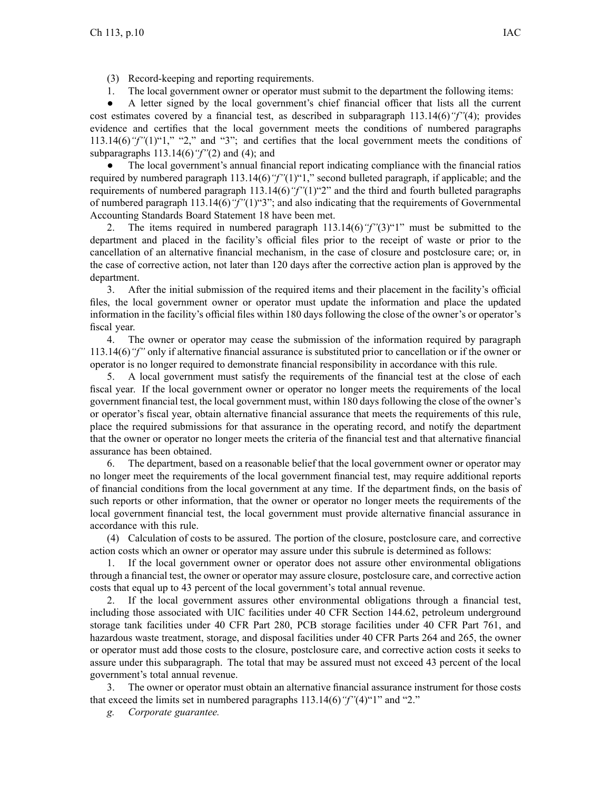- (3) Record-keeping and reporting requirements.
- 1. The local governmen<sup>t</sup> owner or operator must submit to the department the following items:

● A letter signed by the local government's chief financial officer that lists all the current cost estimates covered by <sup>a</sup> financial test, as described in subparagraph 113.14(6)*"f"*(4); provides evidence and certifies that the local governmen<sup>t</sup> meets the conditions of numbered paragraphs 113.14(6)*"f"*(1)"1," "2," and "3"; and certifies that the local governmen<sup>t</sup> meets the conditions of subparagraphs 113.14(6)*"f"*(2) and (4); and

● The local government's annual financial repor<sup>t</sup> indicating compliance with the financial ratios required by numbered paragraph 113.14(6)*"f"*(1)"1," second bulleted paragraph, if applicable; and the requirements of numbered paragraph 113.14(6)*"f"*(1)"2" and the third and fourth bulleted paragraphs of numbered paragraph 113.14(6)*"f"*(1)"3"; and also indicating that the requirements of Governmental Accounting Standards Board Statement 18 have been met.

2. The items required in numbered paragraph 113.14(6)*"f"*(3)"1" must be submitted to the department and placed in the facility's official files prior to the receipt of waste or prior to the cancellation of an alternative financial mechanism, in the case of closure and postclosure care; or, in the case of corrective action, not later than 120 days after the corrective action plan is approved by the department.

3. After the initial submission of the required items and their placement in the facility's official files, the local governmen<sup>t</sup> owner or operator must update the information and place the updated information in the facility's official files within 180 days following the close of the owner's or operator's fiscal year.

4. The owner or operator may cease the submission of the information required by paragraph 113.14(6)*"f"* only if alternative financial assurance is substituted prior to cancellation or if the owner or operator is no longer required to demonstrate financial responsibility in accordance with this rule.

5. A local governmen<sup>t</sup> must satisfy the requirements of the financial test at the close of each fiscal year. If the local governmen<sup>t</sup> owner or operator no longer meets the requirements of the local governmen<sup>t</sup> financial test, the local governmen<sup>t</sup> must, within 180 days following the close of the owner's or operator's fiscal year, obtain alternative financial assurance that meets the requirements of this rule, place the required submissions for that assurance in the operating record, and notify the department that the owner or operator no longer meets the criteria of the financial test and that alternative financial assurance has been obtained.

6. The department, based on <sup>a</sup> reasonable belief that the local governmen<sup>t</sup> owner or operator may no longer meet the requirements of the local governmen<sup>t</sup> financial test, may require additional reports of financial conditions from the local governmen<sup>t</sup> at any time. If the department finds, on the basis of such reports or other information, that the owner or operator no longer meets the requirements of the local governmen<sup>t</sup> financial test, the local governmen<sup>t</sup> must provide alternative financial assurance in accordance with this rule.

(4) Calculation of costs to be assured. The portion of the closure, postclosure care, and corrective action costs which an owner or operator may assure under this subrule is determined as follows:

1. If the local governmen<sup>t</sup> owner or operator does not assure other environmental obligations through <sup>a</sup> financial test, the owner or operator may assure closure, postclosure care, and corrective action costs that equal up to 43 percen<sup>t</sup> of the local government's total annual revenue.

2. If the local governmen<sup>t</sup> assures other environmental obligations through <sup>a</sup> financial test, including those associated with UIC facilities under 40 CFR Section 144.62, petroleum underground storage tank facilities under 40 CFR Part 280, PCB storage facilities under 40 CFR Part 761, and hazardous waste treatment, storage, and disposal facilities under 40 CFR Parts 264 and 265, the owner or operator must add those costs to the closure, postclosure care, and corrective action costs it seeks to assure under this subparagraph. The total that may be assured must not exceed 43 percen<sup>t</sup> of the local government's total annual revenue.

3. The owner or operator must obtain an alternative financial assurance instrument for those costs that exceed the limits set in numbered paragraphs 113.14(6)*"f"*(4)"1" and "2."

*g. Corporate guarantee.*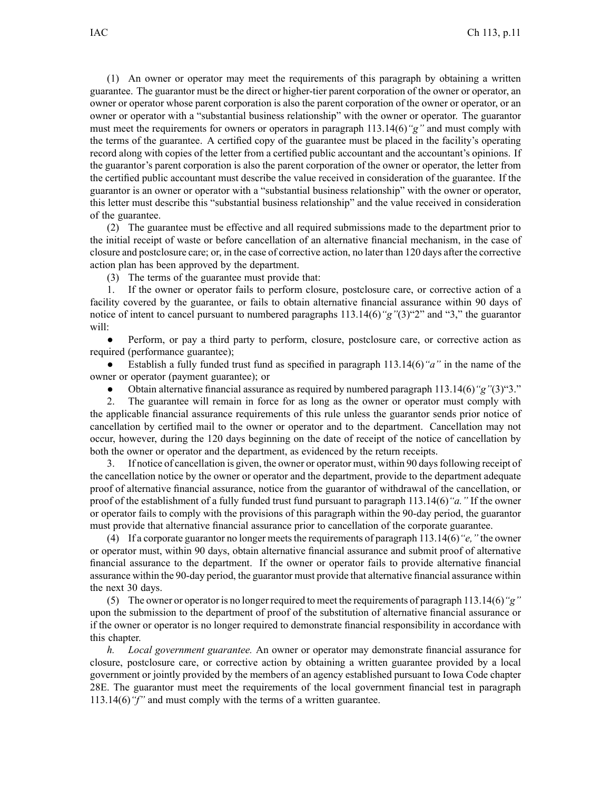(1) An owner or operator may meet the requirements of this paragraph by obtaining <sup>a</sup> written guarantee. The guarantor must be the direct or higher-tier paren<sup>t</sup> corporation of the owner or operator, an owner or operator whose paren<sup>t</sup> corporation is also the paren<sup>t</sup> corporation of the owner or operator, or an owner or operator with <sup>a</sup> "substantial business relationship" with the owner or operator. The guarantor must meet the requirements for owners or operators in paragraph 113.14(6)*"g"* and must comply with the terms of the guarantee. A certified copy of the guarantee must be placed in the facility's operating record along with copies of the letter from <sup>a</sup> certified public accountant and the accountant's opinions. If the guarantor's paren<sup>t</sup> corporation is also the paren<sup>t</sup> corporation of the owner or operator, the letter from the certified public accountant must describe the value received in consideration of the guarantee. If the guarantor is an owner or operator with <sup>a</sup> "substantial business relationship" with the owner or operator, this letter must describe this "substantial business relationship" and the value received in consideration of the guarantee.

(2) The guarantee must be effective and all required submissions made to the department prior to the initial receipt of waste or before cancellation of an alternative financial mechanism, in the case of closure and postclosure care; or, in the case of corrective action, no later than 120 days after the corrective action plan has been approved by the department.

(3) The terms of the guarantee must provide that:

1. If the owner or operator fails to perform closure, postclosure care, or corrective action of <sup>a</sup> facility covered by the guarantee, or fails to obtain alternative financial assurance within 90 days of notice of intent to cancel pursuan<sup>t</sup> to numbered paragraphs 113.14(6)*"g"*(3)"2" and "3," the guarantor will:

● Perform, or pay <sup>a</sup> third party to perform, closure, postclosure care, or corrective action as required (performance guarantee);

● Establish <sup>a</sup> fully funded trust fund as specified in paragraph 113.14(6)*"a"* in the name of the owner or operator (payment guarantee); or

●Obtain alternative financial assurance as required by numbered paragraph 113.14(6)*"g"*(3)"3."

2. The guarantee will remain in force for as long as the owner or operator must comply with the applicable financial assurance requirements of this rule unless the guarantor sends prior notice of cancellation by certified mail to the owner or operator and to the department. Cancellation may not occur, however, during the 120 days beginning on the date of receipt of the notice of cancellation by both the owner or operator and the department, as evidenced by the return receipts.

3. If notice of cancellation is given, the owner or operator must, within 90 daysfollowing receipt of the cancellation notice by the owner or operator and the department, provide to the department adequate proof of alternative financial assurance, notice from the guarantor of withdrawal of the cancellation, or proof of the establishment of <sup>a</sup> fully funded trust fund pursuan<sup>t</sup> to paragraph 113.14(6)*"a."* If the owner or operator fails to comply with the provisions of this paragraph within the 90-day period, the guarantor must provide that alternative financial assurance prior to cancellation of the corporate guarantee.

(4) If <sup>a</sup> corporate guarantor no longer meetsthe requirements of paragraph 113.14(6)*"e,"* the owner or operator must, within 90 days, obtain alternative financial assurance and submit proof of alternative financial assurance to the department. If the owner or operator fails to provide alternative financial assurance within the 90-day period, the guarantor must provide that alternative financial assurance within the next 30 days.

(5) The owner or operator is no longer required to meet the requirements of paragraph 113.14(6)*"g"* upon the submission to the department of proof of the substitution of alternative financial assurance or if the owner or operator is no longer required to demonstrate financial responsibility in accordance with this chapter.

*h. Local governmen<sup>t</sup> guarantee.* An owner or operator may demonstrate financial assurance for closure, postclosure care, or corrective action by obtaining <sup>a</sup> written guarantee provided by <sup>a</sup> local governmen<sup>t</sup> or jointly provided by the members of an agency established pursuan<sup>t</sup> to Iowa Code chapter 28E. The guarantor must meet the requirements of the local governmen<sup>t</sup> financial test in paragraph 113.14(6)*"f"* and must comply with the terms of <sup>a</sup> written guarantee.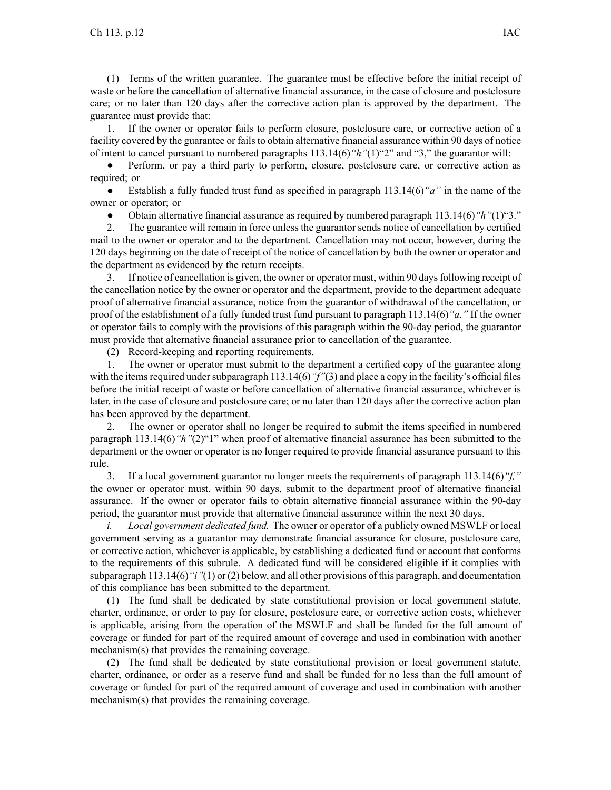(1) Terms of the written guarantee. The guarantee must be effective before the initial receipt of waste or before the cancellation of alternative financial assurance, in the case of closure and postclosure care; or no later than 120 days after the corrective action plan is approved by the department. The guarantee must provide that:

1. If the owner or operator fails to perform closure, postclosure care, or corrective action of <sup>a</sup> facility covered by the guarantee or fails to obtain alternative financial assurance within 90 days of notice of intent to cancel pursuan<sup>t</sup> to numbered paragraphs 113.14(6)*"h"*(1)"2" and "3," the guarantor will:

● Perform, or pay <sup>a</sup> third party to perform, closure, postclosure care, or corrective action as required; or

● Establish <sup>a</sup> fully funded trust fund as specified in paragraph 113.14(6)*"a"* in the name of the owner or operator; or

●Obtain alternative financial assurance as required by numbered paragraph 113.14(6)*"h"*(1)"3."

2. The guarantee will remain in force unless the guarantor sends notice of cancellation by certified mail to the owner or operator and to the department. Cancellation may not occur, however, during the 120 days beginning on the date of receipt of the notice of cancellation by both the owner or operator and the department as evidenced by the return receipts.

3. If notice of cancellation is given, the owner or operator must, within 90 daysfollowing receipt of the cancellation notice by the owner or operator and the department, provide to the department adequate proof of alternative financial assurance, notice from the guarantor of withdrawal of the cancellation, or proof of the establishment of <sup>a</sup> fully funded trust fund pursuan<sup>t</sup> to paragraph 113.14(6)*"a."* If the owner or operator fails to comply with the provisions of this paragraph within the 90-day period, the guarantor must provide that alternative financial assurance prior to cancellation of the guarantee.

(2) Record-keeping and reporting requirements.

1. The owner or operator must submit to the department <sup>a</sup> certified copy of the guarantee along with the items required under subparagraph 113.14(6) "f"(3) and place a copy in the facility's official files before the initial receipt of waste or before cancellation of alternative financial assurance, whichever is later, in the case of closure and postclosure care; or no later than 120 days after the corrective action plan has been approved by the department.

2. The owner or operator shall no longer be required to submit the items specified in numbered paragraph 113.14(6)*"h"*(2)"1" when proof of alternative financial assurance has been submitted to the department or the owner or operator is no longer required to provide financial assurance pursuan<sup>t</sup> to this rule.

3. If <sup>a</sup> local governmen<sup>t</sup> guarantor no longer meets the requirements of paragraph 113.14(6)*"f,"* the owner or operator must, within 90 days, submit to the department proof of alternative financial assurance. If the owner or operator fails to obtain alternative financial assurance within the 90-day period, the guarantor must provide that alternative financial assurance within the next 30 days.

*i. Local governmen<sup>t</sup> dedicated fund.* The owner or operator of <sup>a</sup> publicly owned MSWLF or local governmen<sup>t</sup> serving as <sup>a</sup> guarantor may demonstrate financial assurance for closure, postclosure care, or corrective action, whichever is applicable, by establishing <sup>a</sup> dedicated fund or account that conforms to the requirements of this subrule. A dedicated fund will be considered eligible if it complies with subparagraph 113.14(6)*"i"*(1) or (2) below, and all other provisions of this paragraph, and documentation of this compliance has been submitted to the department.

(1) The fund shall be dedicated by state constitutional provision or local governmen<sup>t</sup> statute, charter, ordinance, or order to pay for closure, postclosure care, or corrective action costs, whichever is applicable, arising from the operation of the MSWLF and shall be funded for the full amount of coverage or funded for par<sup>t</sup> of the required amount of coverage and used in combination with another mechanism(s) that provides the remaining coverage.

(2) The fund shall be dedicated by state constitutional provision or local governmen<sup>t</sup> statute, charter, ordinance, or order as <sup>a</sup> reserve fund and shall be funded for no less than the full amount of coverage or funded for par<sup>t</sup> of the required amount of coverage and used in combination with another mechanism(s) that provides the remaining coverage.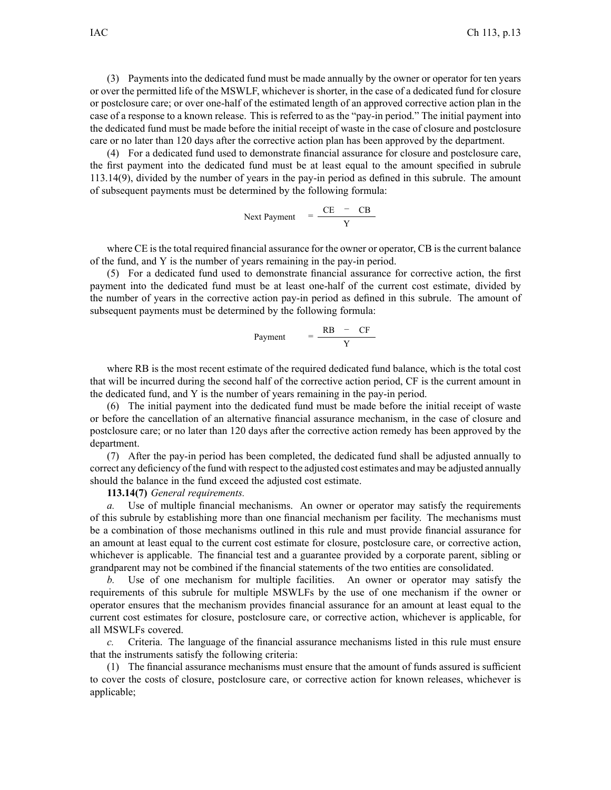(3) Payments into the dedicated fund must be made annually by the owner or operator for ten years or over the permitted life of the MSWLF, whichever is shorter, in the case of <sup>a</sup> dedicated fund for closure or postclosure care; or over one-half of the estimated length of an approved corrective action plan in the case of <sup>a</sup> response to <sup>a</sup> known release. This is referred to as the "pay-in period." The initial paymen<sup>t</sup> into the dedicated fund must be made before the initial receipt of waste in the case of closure and postclosure care or no later than 120 days after the corrective action plan has been approved by the department.

(4) For <sup>a</sup> dedicated fund used to demonstrate financial assurance for closure and postclosure care, the first paymen<sup>t</sup> into the dedicated fund must be at least equal to the amount specified in subrule 113.14(9), divided by the number of years in the pay-in period as defined in this subrule. The amount of subsequent payments must be determined by the following formula:

Next Payment 
$$
=\frac{CE - CB}{Y}
$$

where CE is the total required financial assurance for the owner or operator, CB is the current balance of the fund, and Y is the number of years remaining in the pay-in period.

(5) For <sup>a</sup> dedicated fund used to demonstrate financial assurance for corrective action, the first paymen<sup>t</sup> into the dedicated fund must be at least one-half of the current cost estimate, divided by the number of years in the corrective action pay-in period as defined in this subrule. The amount of subsequent payments must be determined by the following formula:

$$
Payment = \frac{RB - CF}{Y}
$$

where RB is the most recent estimate of the required dedicated fund balance, which is the total cost that will be incurred during the second half of the corrective action period, CF is the current amount in the dedicated fund, and Y is the number of years remaining in the pay-in period.

(6) The initial paymen<sup>t</sup> into the dedicated fund must be made before the initial receipt of waste or before the cancellation of an alternative financial assurance mechanism, in the case of closure and postclosure care; or no later than 120 days after the corrective action remedy has been approved by the department.

(7) After the pay-in period has been completed, the dedicated fund shall be adjusted annually to correct any deficiency of the fund with respec<sup>t</sup> to the adjusted cost estimates and may be adjusted annually should the balance in the fund exceed the adjusted cost estimate.

**113.14(7)** *General requirements.*

*a.* Use of multiple financial mechanisms. An owner or operator may satisfy the requirements of this subrule by establishing more than one financial mechanism per facility. The mechanisms must be <sup>a</sup> combination of those mechanisms outlined in this rule and must provide financial assurance for an amount at least equal to the current cost estimate for closure, postclosure care, or corrective action, whichever is applicable. The financial test and <sup>a</sup> guarantee provided by <sup>a</sup> corporate parent, sibling or grandparent may not be combined if the financial statements of the two entities are consolidated.

*b.* Use of one mechanism for multiple facilities. An owner or operator may satisfy the requirements of this subrule for multiple MSWLFs by the use of one mechanism if the owner or operator ensures that the mechanism provides financial assurance for an amount at least equal to the current cost estimates for closure, postclosure care, or corrective action, whichever is applicable, for all MSWLFs covered.

*c.* Criteria. The language of the financial assurance mechanisms listed in this rule must ensure that the instruments satisfy the following criteria:

(1) The financial assurance mechanisms must ensure that the amount of funds assured is sufficient to cover the costs of closure, postclosure care, or corrective action for known releases, whichever is applicable;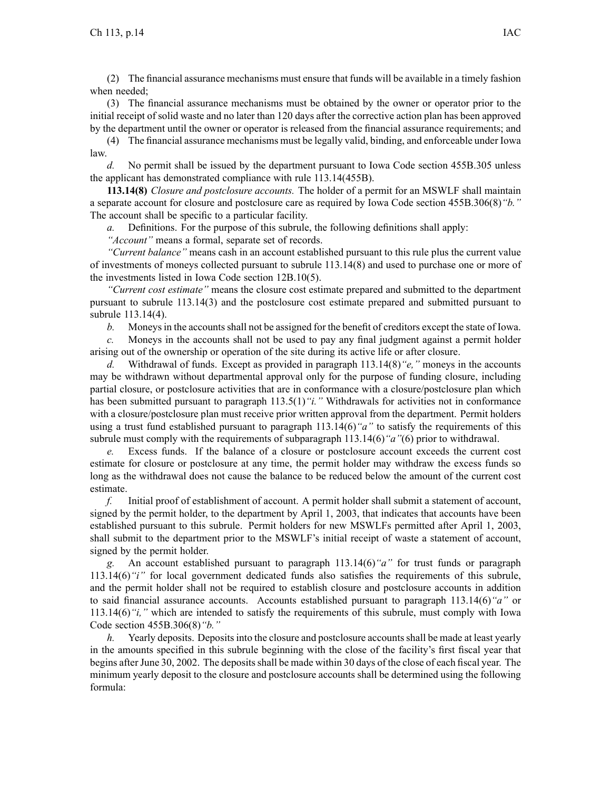(2) The financial assurance mechanisms must ensure that funds will be available in <sup>a</sup> timely fashion when needed;

(3) The financial assurance mechanisms must be obtained by the owner or operator prior to the initial receipt of solid waste and no later than 120 days after the corrective action plan has been approved by the department until the owner or operator is released from the financial assurance requirements; and

(4) The financial assurance mechanisms must be legally valid, binding, and enforceable under Iowa law.

*d.* No permit shall be issued by the department pursuan<sup>t</sup> to Iowa Code section 455B.305 unless the applicant has demonstrated compliance with rule 113.14(455B).

**113.14(8)** *Closure and postclosure accounts.* The holder of <sup>a</sup> permit for an MSWLF shall maintain <sup>a</sup> separate account for closure and postclosure care as required by Iowa Code section 455B.306(8)*"b."* The account shall be specific to <sup>a</sup> particular facility.

*a.* Definitions. For the purpose of this subrule, the following definitions shall apply:

*"Account"* means <sup>a</sup> formal, separate set of records.

*"Current balance"* means cash in an account established pursuan<sup>t</sup> to this rule plus the current value of investments of moneys collected pursuan<sup>t</sup> to subrule 113.14(8) and used to purchase one or more of the investments listed in Iowa Code section 12B.10(5).

*"Current cost estimate"* means the closure cost estimate prepared and submitted to the department pursuan<sup>t</sup> to subrule 113.14(3) and the postclosure cost estimate prepared and submitted pursuan<sup>t</sup> to subrule 113.14(4).

*b.* Moneysin the accountsshall not be assigned for the benefit of creditors excep<sup>t</sup> the state of Iowa.

*c.* Moneys in the accounts shall not be used to pay any final judgment against <sup>a</sup> permit holder arising out of the ownership or operation of the site during its active life or after closure.

*d.* Withdrawal of funds. Except as provided in paragraph 113.14(8)*"e,"* moneys in the accounts may be withdrawn without departmental approval only for the purpose of funding closure, including partial closure, or postclosure activities that are in conformance with <sup>a</sup> closure/postclosure plan which has been submitted pursuant to paragraph 113.5(1)*"i."* Withdrawals for activities not in conformance with a closure/postclosure plan must receive prior written approval from the department. Permit holders using <sup>a</sup> trust fund established pursuan<sup>t</sup> to paragraph 113.14(6)*"a"* to satisfy the requirements of this subrule must comply with the requirements of subparagraph 113.14(6)*"a"*(6) prior to withdrawal.

*e.* Excess funds. If the balance of <sup>a</sup> closure or postclosure account exceeds the current cost estimate for closure or postclosure at any time, the permit holder may withdraw the excess funds so long as the withdrawal does not cause the balance to be reduced below the amount of the current cost estimate.

*f.* Initial proof of establishment of account. A permit holder shall submit <sup>a</sup> statement of account, signed by the permit holder, to the department by April 1, 2003, that indicates that accounts have been established pursuan<sup>t</sup> to this subrule. Permit holders for new MSWLFs permitted after April 1, 2003, shall submit to the department prior to the MSWLF's initial receipt of waste <sup>a</sup> statement of account, signed by the permit holder.

*g.* An account established pursuan<sup>t</sup> to paragraph 113.14(6)*"a"* for trust funds or paragraph 113.14(6)*"i"* for local governmen<sup>t</sup> dedicated funds also satisfies the requirements of this subrule, and the permit holder shall not be required to establish closure and postclosure accounts in addition to said financial assurance accounts. Accounts established pursuan<sup>t</sup> to paragraph 113.14(6)*"a"* or 113.14(6)*"i,"* which are intended to satisfy the requirements of this subrule, must comply with Iowa Code section 455B.306(8)*"b."*

*h.* Yearly deposits. Deposits into the closure and postclosure accounts shall be made at least yearly in the amounts specified in this subrule beginning with the close of the facility's first fiscal year that begins after June 30, 2002. The deposits shall be made within 30 days of the close of each fiscal year. The minimum yearly deposit to the closure and postclosure accounts shall be determined using the following formula: